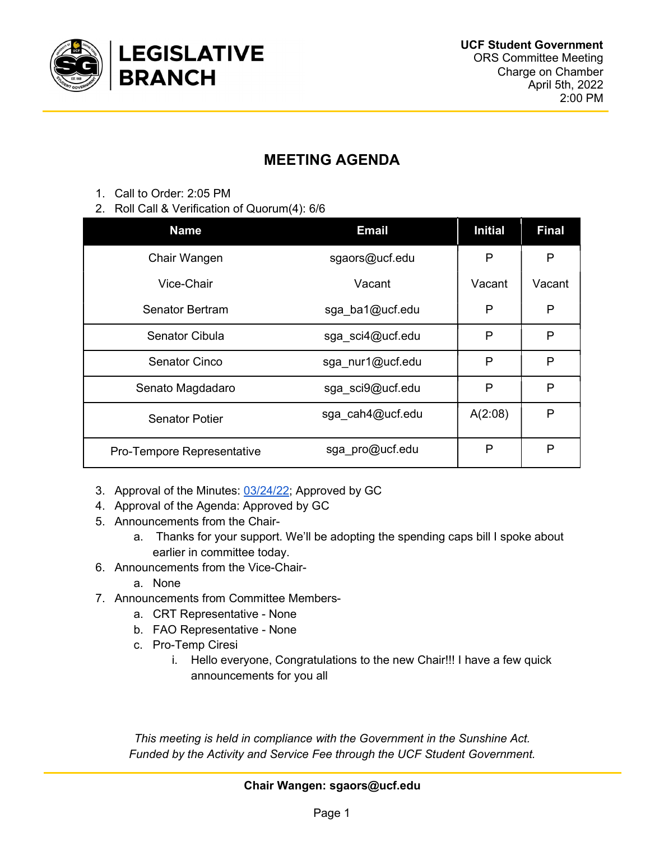

## MEETING AGENDA

- 1. Call to Order: 2:05 PM
- 2. Roll Call & Verification of Quorum(4): 6/6

| <b>Name</b>                | <b>Email</b>     | <b>Initial</b> | <b>Final</b> |
|----------------------------|------------------|----------------|--------------|
| Chair Wangen               | sgaors@ucf.edu   | P              | Ρ            |
| Vice-Chair                 | Vacant           | Vacant         | Vacant       |
| Senator Bertram            | sga ba1@ucf.edu  | P              | P            |
| Senator Cibula             | sga sci4@ucf.edu | P              | P            |
| <b>Senator Cinco</b>       | sga nur1@ucf.edu | P              | P            |
| Senato Magdadaro           | sga sci9@ucf.edu | P              | $\mathsf{P}$ |
| <b>Senator Potier</b>      | sga cah4@ucf.edu | A(2:08)        | P            |
| Pro-Tempore Representative | sga pro@ucf.edu  | P              | P            |

- 3. Approval of the Minutes: 03/24/22; Approved by GC
- 4. Approval of the Agenda: Approved by GC
- 5. Announcements from the Chair
	- a. Thanks for your support. We'll be adopting the spending caps bill I spoke about earlier in committee today.
- 6. Announcements from the Vice-Chair
	- a. None
- 7. Announcements from Committee Members
	- a. CRT Representative None
	- b. FAO Representative None
	- c. Pro-Temp Ciresi
		- i. Hello everyone, Congratulations to the new Chair!!! I have a few quick announcements for you all

This meeting is held in compliance with the Government in the Sunshine Act. Funded by the Activity and Service Fee through the UCF Student Government.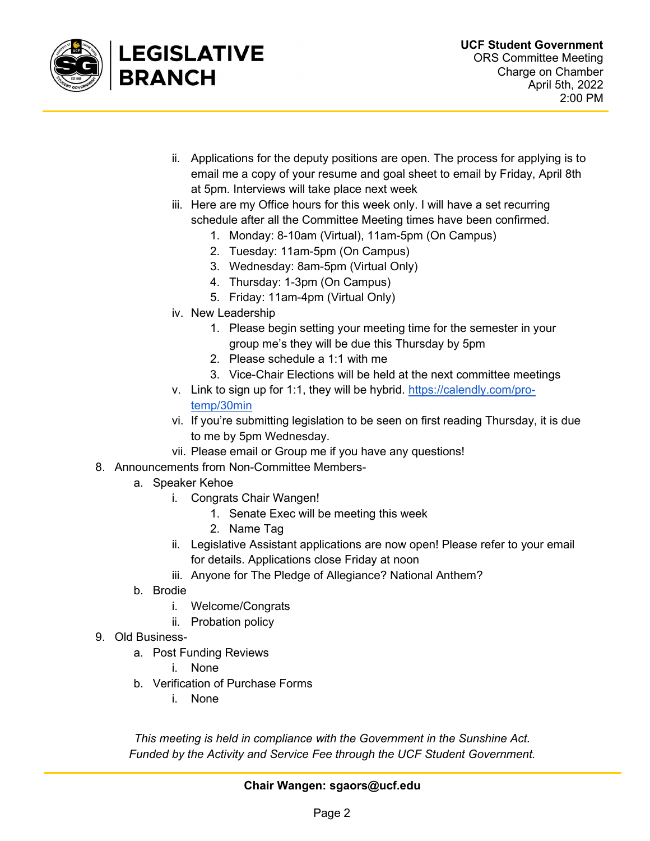

- ii. Applications for the deputy positions are open. The process for applying is to email me a copy of your resume and goal sheet to email by Friday, April 8th at 5pm. Interviews will take place next week
- iii. Here are my Office hours for this week only. I will have a set recurring schedule after all the Committee Meeting times have been confirmed.
	- 1. Monday: 8-10am (Virtual), 11am-5pm (On Campus)
	- 2. Tuesday: 11am-5pm (On Campus)
	- 3. Wednesday: 8am-5pm (Virtual Only)
	- 4. Thursday: 1-3pm (On Campus)
	- 5. Friday: 11am-4pm (Virtual Only)
- iv. New Leadership
	- 1. Please begin setting your meeting time for the semester in your group me's they will be due this Thursday by 5pm
	- 2. Please schedule a 1:1 with me
	- 3. Vice-Chair Elections will be held at the next committee meetings
- v. Link to sign up for 1:1, they will be hybrid. https://calendly.com/protemp/30min
- vi. If you're submitting legislation to be seen on first reading Thursday, it is due to me by 5pm Wednesday.
- vii. Please email or Group me if you have any questions!
- 8. Announcements from Non-Committee Members
	- a. Speaker Kehoe
		- i. Congrats Chair Wangen!
			- 1. Senate Exec will be meeting this week
			- 2. Name Tag
		- ii. Legislative Assistant applications are now open! Please refer to your email for details. Applications close Friday at noon
		- iii. Anyone for The Pledge of Allegiance? National Anthem?
	- b. Brodie
		- i. Welcome/Congrats
		- ii. Probation policy
- 9. Old Business
	- a. Post Funding Reviews
		- i. None
	- b. Verification of Purchase Forms
		- i. None

This meeting is held in compliance with the Government in the Sunshine Act. Funded by the Activity and Service Fee through the UCF Student Government.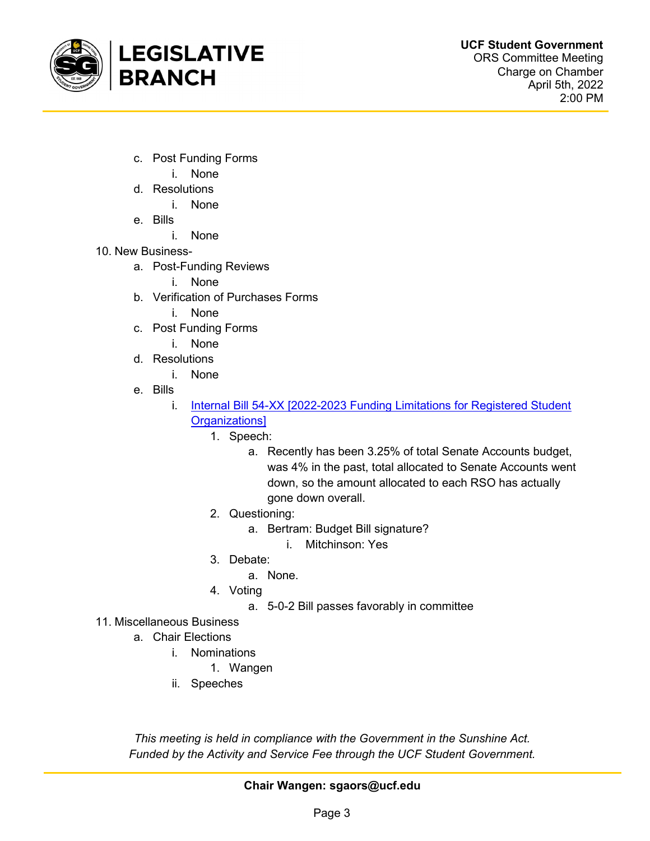

- c. Post Funding Forms
	- i. None
- d. Resolutions
	- i. None
- e. Bills
	- i. None
- 10. New Business
	- a. Post-Funding Reviews
		- i. None
	- b. Verification of Purchases Forms
		- i. None
	- c. Post Funding Forms
		- i. None
	- d. Resolutions
		- i. None
	- e. Bills
		- i. Internal Bill 54-XX [2022-2023 Funding Limitations for Registered Student Organizations]
			- 1. Speech:
				- a. Recently has been 3.25% of total Senate Accounts budget, was 4% in the past, total allocated to Senate Accounts went down, so the amount allocated to each RSO has actually gone down overall.
			- 2. Questioning:
				- a. Bertram: Budget Bill signature?
					- i. Mitchinson: Yes
			- 3. Debate:
				- a. None.
			- 4. Voting
				- a. 5-0-2 Bill passes favorably in committee
- 11. Miscellaneous Business
	- a. Chair Elections
		- i. Nominations
			- 1. Wangen
		- ii. Speeches

This meeting is held in compliance with the Government in the Sunshine Act. Funded by the Activity and Service Fee through the UCF Student Government.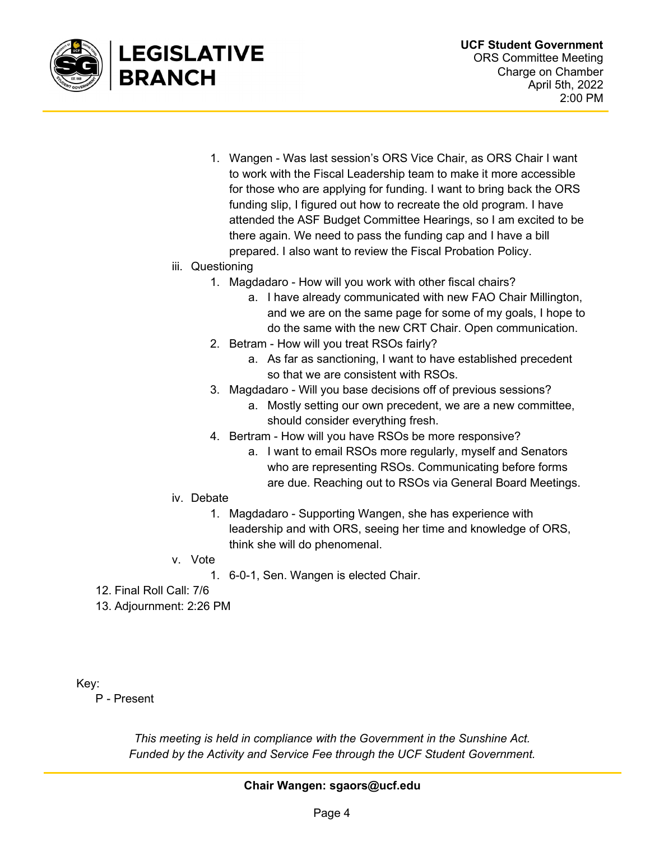

1. Wangen - Was last session's ORS Vice Chair, as ORS Chair I want to work with the Fiscal Leadership team to make it more accessible for those who are applying for funding. I want to bring back the ORS funding slip, I figured out how to recreate the old program. I have attended the ASF Budget Committee Hearings, so I am excited to be there again. We need to pass the funding cap and I have a bill prepared. I also want to review the Fiscal Probation Policy.

## iii. Questioning

- 1. Magdadaro How will you work with other fiscal chairs?
	- a. I have already communicated with new FAO Chair Millington, and we are on the same page for some of my goals, I hope to do the same with the new CRT Chair. Open communication.
- 2. Betram How will you treat RSOs fairly?
	- a. As far as sanctioning, I want to have established precedent so that we are consistent with RSOs.
- 3. Magdadaro Will you base decisions off of previous sessions?
	- a. Mostly setting our own precedent, we are a new committee, should consider everything fresh.
- 4. Bertram How will you have RSOs be more responsive?
	- a. I want to email RSOs more regularly, myself and Senators who are representing RSOs. Communicating before forms are due. Reaching out to RSOs via General Board Meetings.
- iv. Debate
	- 1. Magdadaro Supporting Wangen, she has experience with leadership and with ORS, seeing her time and knowledge of ORS, think she will do phenomenal.
- v. Vote
	- 1. 6-0-1, Sen. Wangen is elected Chair.
- 12. Final Roll Call: 7/6
- 13. Adjournment: 2:26 PM

Key:

P - Present

This meeting is held in compliance with the Government in the Sunshine Act. Funded by the Activity and Service Fee through the UCF Student Government.